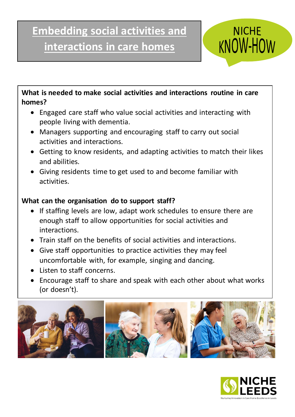# **Embedding social activities and interactions in care homes**



**What is needed to make social activities and interactions routine in care homes?** 

- Engaged care staff who value social activities and interacting with people living with dementia.
- Managers supporting and encouraging staff to carry out social activities and interactions.
- Getting to know residents, and adapting activities to match their likes and abilities.
- Giving residents time to get used to and become familiar with activities.

# **What can the organisation do to support staff?**

- If staffing levels are low, adapt work schedules to ensure there are enough staff to allow opportunities for social activities and interactions.
- Train staff on the benefits of social activities and interactions.
- Give staff opportunities to practice activities they may feel uncomfortable with, for example, singing and dancing.
- Listen to staff concerns.
- Encourage staff to share and speak with each other about what works (or doesn't).



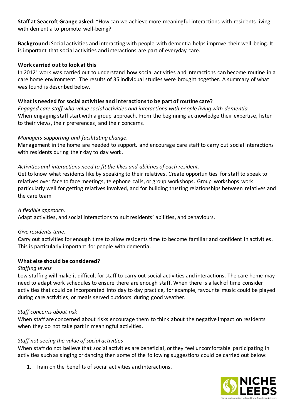**Staff at Seacroft Grange asked:** "How can we achieve more meaningful interactions with residents living with dementia to promote well-being?

**Background:** Social activities and interacting with people with dementia helps improve their well-being. It is important that social activities and interactions are part of everyday care.

# **Work carried out to look at this**

In 2012<sup>1</sup> work was carried out to understand how social activities and interactions can become routine in a care home environment. The results of 35 individual studies were brought together. A summary of what was found is described below.

# **What is needed for social activities and interactions to be part of routine care?**

*Engaged care staff who value social activities and interactions with people living with dementia.* When engaging staff start with a group approach. From the beginning acknowledge their expertise, listen to their views, their preferences, and their concerns.

#### *Managers supporting and facilitating change.*

Management in the home are needed to support, and encourage care staff to carry out social interactions with residents during their day to day work.

#### *Activities and interactions need to fit the likes and abilities of each resident.*

Get to know what residents like by speaking to their relatives. Create opportunities for staff to speak to relatives over face to face meetings, telephone calls, or group workshops. Group workshops work particularly well for getting relatives involved, and for building trusting relationships between relatives and the care team.

#### *A flexible approach.*

Adapt activities, and social interactions to suit residents' abilities, and behaviours.

#### *Give residents time.*

Carry out activities for enough time to allow residents time to become familiar and confident in activities. This is particularly important for people with dementia.

# **What else should be considered?**

#### *Staffing levels*

Low staffing will make it difficult for staff to carry out social activities and interactions. The care home may need to adapt work schedules to ensure there are enough staff. When there is a lack of time consider activities that could be incorporated into day to day practice, for example, favourite music could be played during care activities, or meals served outdoors during good weather.

# *Staff concerns about risk*

When staff are concerned about risks encourage them to think about the negative impact on residents when they do not take part in meaningful activities.

# *Staff not seeing the value of social activities*

When staff do not believe that social activities are beneficial, or they feel uncomfortable participating in activities such as singing or dancing then some of the following suggestions could be carried out below:

1. Train on the benefits of social activities and interactions.